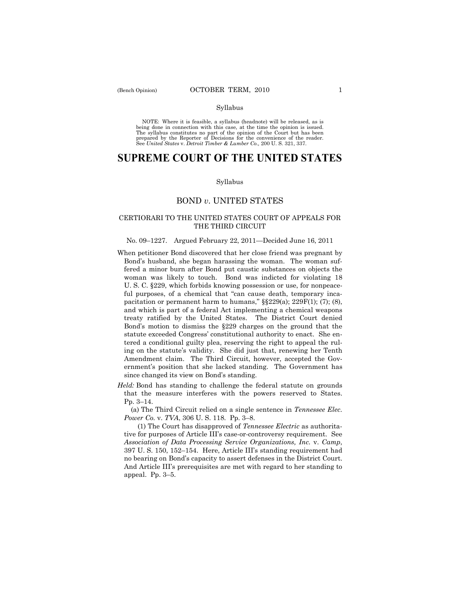#### Syllabus

NOTE: Where it is feasible, a syllabus (headnote) will be released, as is being done in connection with this case, at the time the opinion is issued. The syllabus constitutes no part of the opinion of the Court but has been<br>prepared by the Reporter of Decisions for the convenience of the reader.<br>See United States v. Detroit Timber & Lumber Co., 200 U. S. 321, 337.

# **SUPREME COURT OF THE UNITED STATES**

### Syllabus

## BOND *v*. UNITED STATES

## CERTIORARI TO THE UNITED STATES COURT OF APPEALS FOR THE THIRD CIRCUIT

## No. 09–1227. Argued February 22, 2011—Decided June 16, 2011

- When petitioner Bond discovered that her close friend was pregnant by Bond's husband, she began harassing the woman. The woman suffered a minor burn after Bond put caustic substances on objects the woman was likely to touch. Bond was indicted for violating 18 U. S. C. §229, which forbids knowing possession or use, for nonpeaceful purposes, of a chemical that "can cause death, temporary incapacitation or permanent harm to humans,"  $\S$  $229(a)$ ;  $229F(1)$ ; (7); (8), and which is part of a federal Act implementing a chemical weapons treaty ratified by the United States. The District Court denied Bond's motion to dismiss the §229 charges on the ground that the statute exceeded Congress' constitutional authority to enact. She entered a conditional guilty plea, reserving the right to appeal the ruling on the statute's validity. She did just that, renewing her Tenth Amendment claim. The Third Circuit, however, accepted the Government's position that she lacked standing. The Government has since changed its view on Bond's standing.
- *Held:* Bond has standing to challenge the federal statute on grounds that the measure interferes with the powers reserved to States. Pp. 3–14.

 (a) The Third Circuit relied on a single sentence in *Tennessee Elec. Power Co.* v. *TVA*, 306 U. S. 118. Pp. 3–8.

 (1) The Court has disapproved of *Tennessee Electric* as authoritative for purposes of Article III's case-or-controversy requirement. See *Association of Data Processing Service Organizations, Inc.* v. *Camp*, 397 U. S. 150, 152–154. Here, Article III's standing requirement had no bearing on Bond's capacity to assert defenses in the District Court. And Article III's prerequisites are met with regard to her standing to appeal. Pp. 3–5.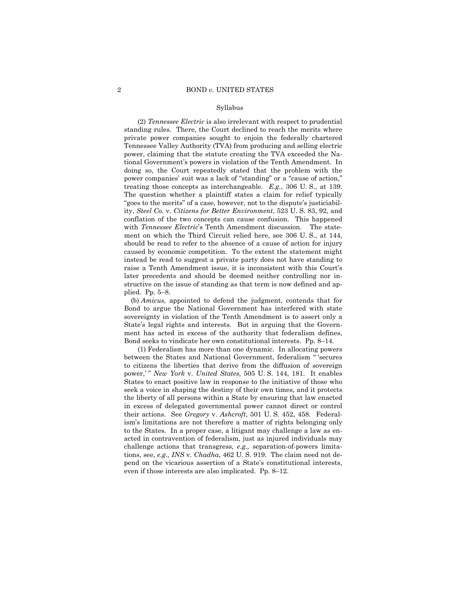### Syllabus

 (2) *Tennessee Electric* is also irrelevant with respect to prudential standing rules. There, the Court declined to reach the merits where private power companies sought to enjoin the federally chartered Tennessee Valley Authority (TVA) from producing and selling electric power, claiming that the statute creating the TVA exceeded the National Government's powers in violation of the Tenth Amendment. In doing so, the Court repeatedly stated that the problem with the power companies' suit was a lack of "standing" or a "cause of action," treating those concepts as interchangeable. *E.g.*, 306 U. S., at 139. The question whether a plaintiff states a claim for relief typically "goes to the merits" of a case, however, not to the dispute's justiciability, *Steel Co.* v. *Citizens for Better Environment*, 523 U. S. 83, 92, and conflation of the two concepts can cause confusion. This happened with *Tennessee Electric*'s Tenth Amendment discussion. The statement on which the Third Circuit relied here, see 306 U. S., at 144, should be read to refer to the absence of a cause of action for injury caused by economic competition. To the extent the statement might instead be read to suggest a private party does not have standing to raise a Tenth Amendment issue, it is inconsistent with this Court's later precedents and should be deemed neither controlling nor instructive on the issue of standing as that term is now defined and applied. Pp. 5–8.

 (b) *Amicus,* appointed to defend the judgment, contends that for Bond to argue the National Government has interfered with state sovereignty in violation of the Tenth Amendment is to assert only a State's legal rights and interests. But in arguing that the Government has acted in excess of the authority that federalism defines, Bond seeks to vindicate her own constitutional interests. Pp. 8–14.

 (1) Federalism has more than one dynamic. In allocating powers between the States and National Government, federalism " 'secures to citizens the liberties that derive from the diffusion of sovereign power,' " *New York* v. *United States*, 505 U. S. 144, 181. It enables States to enact positive law in response to the initiative of those who seek a voice in shaping the destiny of their own times, and it protects the liberty of all persons within a State by ensuring that law enacted in excess of delegated governmental power cannot direct or control their actions. See *Gregory* v. *Ashcroft*, 501 U. S. 452, 458*.* Federalism's limitations are not therefore a matter of rights belonging only to the States. In a proper case, a litigant may challenge a law as enacted in contravention of federalism, just as injured individuals may challenge actions that transgress, *e.g.,* separation-of-powers limitations, see, *e.g., INS* v. *Chadha*, 462 U. S. 919. The claim need not depend on the vicarious assertion of a State's constitutional interests, even if those interests are also implicated. Pp. 8–12.